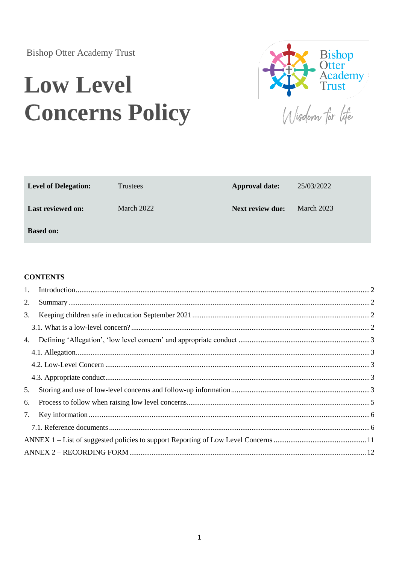## **Bishop Otter Academy Trust**

# **Low Level Concerns Policy**



| <b>Level of Delegation:</b> | <b>Trustees</b> | <b>Approval date:</b>   | 25/03/2022 |
|-----------------------------|-----------------|-------------------------|------------|
| <b>Last reviewed on:</b>    | March 2022      | <b>Next review due:</b> | March 2023 |
| <b>Based on:</b>            |                 |                         |            |

#### **CONTENTS**

| 2. |  |  |
|----|--|--|
| 3. |  |  |
|    |  |  |
|    |  |  |
|    |  |  |
|    |  |  |
|    |  |  |
| 5. |  |  |
| 6. |  |  |
| 7. |  |  |
|    |  |  |
|    |  |  |
|    |  |  |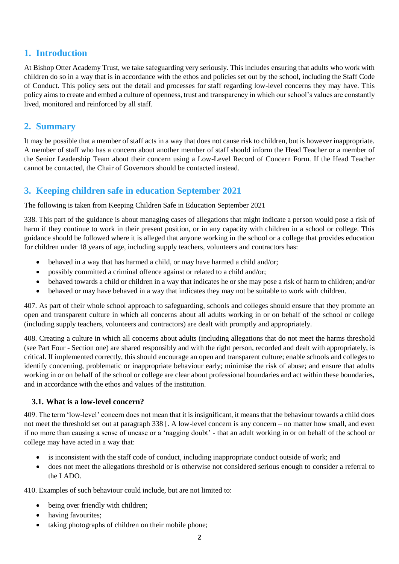#### <span id="page-1-0"></span>**1. Introduction**

At Bishop Otter Academy Trust, we take safeguarding very seriously. This includes ensuring that adults who work with children do so in a way that is in accordance with the ethos and policies set out by the school, including the Staff Code of Conduct. This policy sets out the detail and processes for staff regarding low-level concerns they may have. This policy aims to create and embed a culture of openness, trust and transparency in which our school's values are constantly lived, monitored and reinforced by all staff.

#### <span id="page-1-1"></span>**2. Summary**

It may be possible that a member of staff acts in a way that does not cause risk to children, but is however inappropriate. A member of staff who has a concern about another member of staff should inform the Head Teacher or a member of the Senior Leadership Team about their concern using a Low-Level Record of Concern Form. If the Head Teacher cannot be contacted, the Chair of Governors should be contacted instead.

#### <span id="page-1-2"></span>**3. Keeping children safe in education September 2021**

The following is taken from Keeping Children Safe in Education September 2021

338. This part of the guidance is about managing cases of allegations that might indicate a person would pose a risk of harm if they continue to work in their present position, or in any capacity with children in a school or college. This guidance should be followed where it is alleged that anyone working in the school or a college that provides education for children under 18 years of age, including supply teachers, volunteers and contractors has:

- behaved in a way that has harmed a child, or may have harmed a child and/or;
- possibly committed a criminal offence against or related to a child and/or;
- behaved towards a child or children in a way that indicates he or she may pose a risk of harm to children; and/or
- behaved or may have behaved in a way that indicates they may not be suitable to work with children.

407. As part of their whole school approach to safeguarding, schools and colleges should ensure that they promote an open and transparent culture in which all concerns about all adults working in or on behalf of the school or college (including supply teachers, volunteers and contractors) are dealt with promptly and appropriately.

408. Creating a culture in which all concerns about adults (including allegations that do not meet the harms threshold (see Part Four - Section one) are shared responsibly and with the right person, recorded and dealt with appropriately, is critical. If implemented correctly, this should encourage an open and transparent culture; enable schools and colleges to identify concerning, problematic or inappropriate behaviour early; minimise the risk of abuse; and ensure that adults working in or on behalf of the school or college are clear about professional boundaries and act within these boundaries, and in accordance with the ethos and values of the institution.

#### <span id="page-1-3"></span>**3.1. What is a low-level concern?**

409. The term 'low-level' concern does not mean that it is insignificant, it means that the behaviour towards a child does not meet the threshold set out at paragraph 338 [. A low-level concern is any concern – no matter how small, and even if no more than causing a sense of unease or a 'nagging doubt' - that an adult working in or on behalf of the school or college may have acted in a way that:

- is inconsistent with the staff code of conduct, including inappropriate conduct outside of work; and
- does not meet the allegations threshold or is otherwise not considered serious enough to consider a referral to the LADO.

410. Examples of such behaviour could include, but are not limited to:

- being over friendly with children;
- having favourites;
- taking photographs of children on their mobile phone;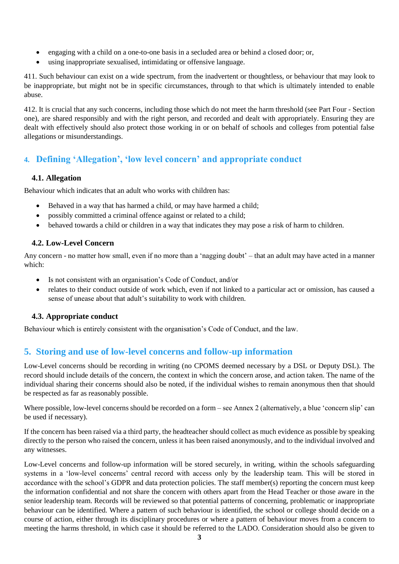- engaging with a child on a one-to-one basis in a secluded area or behind a closed door; or,
- using inappropriate sexualised, intimidating or offensive language.

411. Such behaviour can exist on a wide spectrum, from the inadvertent or thoughtless, or behaviour that may look to be inappropriate, but might not be in specific circumstances, through to that which is ultimately intended to enable abuse.

412. It is crucial that any such concerns, including those which do not meet the harm threshold (see Part Four - Section one), are shared responsibly and with the right person, and recorded and dealt with appropriately. Ensuring they are dealt with effectively should also protect those working in or on behalf of schools and colleges from potential false allegations or misunderstandings.

#### <span id="page-2-0"></span>**4. Defining 'Allegation', 'low level concern' and appropriate conduct**

#### <span id="page-2-1"></span>**4.1. Allegation**

Behaviour which indicates that an adult who works with children has:

- Behaved in a way that has harmed a child, or may have harmed a child;
- possibly committed a criminal offence against or related to a child;
- behaved towards a child or children in a way that indicates they may pose a risk of harm to children.

#### <span id="page-2-2"></span>**4.2. Low-Level Concern**

Any concern - no matter how small, even if no more than a 'nagging doubt' – that an adult may have acted in a manner which:

- Is not consistent with an organisation's Code of Conduct, and/or
- relates to their conduct outside of work which, even if not linked to a particular act or omission, has caused a sense of unease about that adult's suitability to work with children.

#### <span id="page-2-3"></span>**4.3. Appropriate conduct**

Behaviour which is entirely consistent with the organisation's Code of Conduct, and the law.

#### <span id="page-2-4"></span>**5. Storing and use of low-level concerns and follow-up information**

Low-Level concerns should be recording in writing (no CPOMS deemed necessary by a DSL or Deputy DSL). The record should include details of the concern, the context in which the concern arose, and action taken. The name of the individual sharing their concerns should also be noted, if the individual wishes to remain anonymous then that should be respected as far as reasonably possible.

Where possible, low-level concerns should be recorded on a form – see Annex 2 (alternatively, a blue 'concern slip' can be used if necessary).

If the concern has been raised via a third party, the headteacher should collect as much evidence as possible by speaking directly to the person who raised the concern, unless it has been raised anonymously, and to the individual involved and any witnesses.

Low-Level concerns and follow-up information will be stored securely, in writing, within the schools safeguarding systems in a 'low-level concerns' central record with access only by the leadership team. This will be stored in accordance with the school's GDPR and data protection policies. The staff member(s) reporting the concern must keep the information confidential and not share the concern with others apart from the Head Teacher or those aware in the senior leadership team. Records will be reviewed so that potential patterns of concerning, problematic or inappropriate behaviour can be identified. Where a pattern of such behaviour is identified, the school or college should decide on a course of action, either through its disciplinary procedures or where a pattern of behaviour moves from a concern to meeting the harms threshold, in which case it should be referred to the LADO. Consideration should also be given to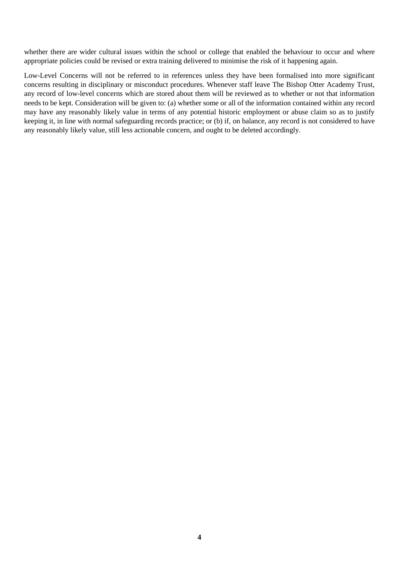whether there are wider cultural issues within the school or college that enabled the behaviour to occur and where appropriate policies could be revised or extra training delivered to minimise the risk of it happening again.

Low-Level Concerns will not be referred to in references unless they have been formalised into more significant concerns resulting in disciplinary or misconduct procedures. Whenever staff leave The Bishop Otter Academy Trust, any record of low-level concerns which are stored about them will be reviewed as to whether or not that information needs to be kept. Consideration will be given to: (a) whether some or all of the information contained within any record may have any reasonably likely value in terms of any potential historic employment or abuse claim so as to justify keeping it, in line with normal safeguarding records practice; or (b) if, on balance, any record is not considered to have any reasonably likely value, still less actionable concern, and ought to be deleted accordingly.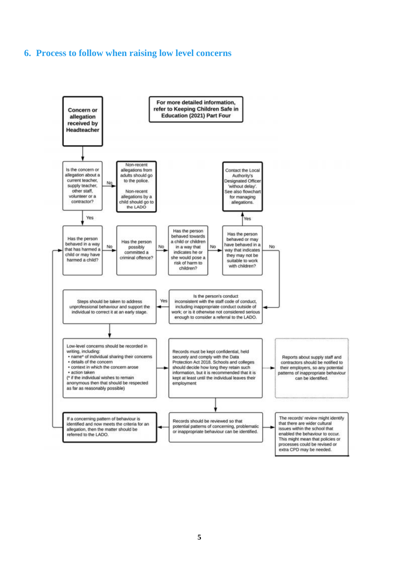#### <span id="page-4-0"></span>**6. Process to follow when raising low level concerns**

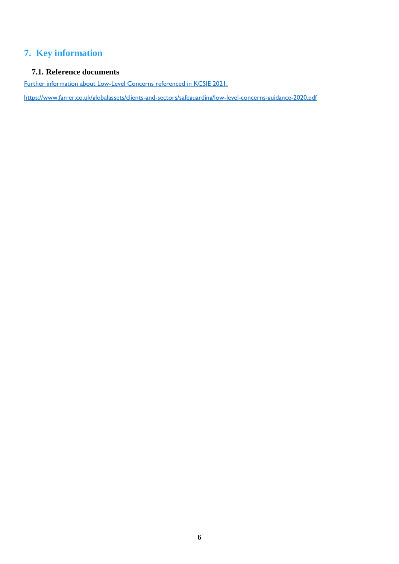## <span id="page-5-0"></span>**7. Key information**

#### <span id="page-5-1"></span>**7.1. Reference documents**

Further information about Low-Level Concerns referenced in KCSIE 2021.

https://www.farrer.co.uk/globalassets/clients-and-sectors/safeguarding/low-level-concerns-guidance-2020.pdf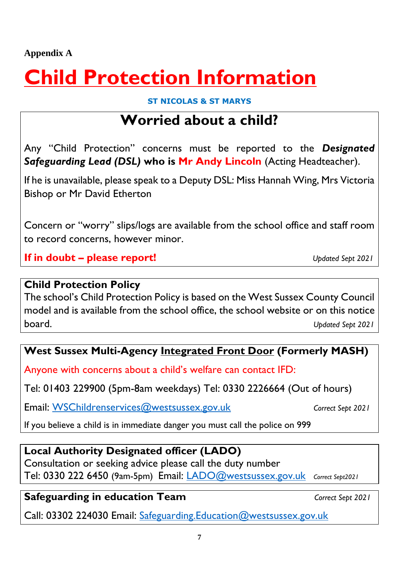**Appendix A** 

## **Child Protection Information**

#### **ST NICOLAS & ST MARYS**

## **Worried about a child?**

Any "Child Protection" concerns must be reported to the *Designated Safeguarding Lead (DSL)* **who is Mr Andy Lincoln** (Acting Headteacher).

If he is unavailable, please speak to a Deputy DSL: Miss Hannah Wing, Mrs Victoria Bishop or Mr David Etherton

Concern or "worry" slips/logs are available from the school office and staff room to record concerns, however minor.

**If in doubt – please report!** *Updated Sept 2021*

### **Child Protection Policy**

The school's Child Protection Policy is based on the West Sussex County Council model and is available from the school office, the school website or on this notice board. *Updated Sept 2021*

## **West Sussex Multi-Agency Integrated Front Door (Formerly MASH)**

Anyone with concerns about a child's welfare can contact IFD:

Tel: 01403 229900 (5pm-8am weekdays) Tel: 0330 2226664 (Out of hours)

Email: [WSChildrenservices@westsussex.gov.uk](about:blank) **Correct Sept 2021** 

If you believe a child is in immediate danger you must call the police on 999

## **Local Authority Designated officer (LADO)**

Consultation or seeking advice please call the duty number Tel: 0330 222 6450 (9am-5pm) Email: [LADO@westsussex.gov.uk](about:blank) *Correct Sept2021*

## **Safeguarding in education Team** *Correct Sept 2021*

Call: 03302 224030 Email: [Safeguarding.Education@westsussex.gov.uk](about:blank)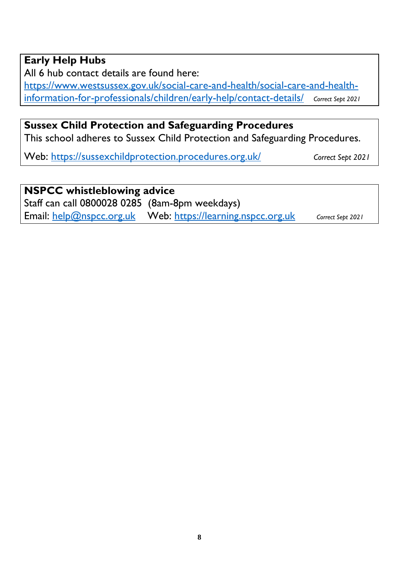## **Early Help Hubs**

All 6 hub contact details are found here:

[https://www.westsussex.gov.uk/social-care-and-health/social-care-and-health](about:blank)[information-for-professionals/children/early-help/contact-details/](about:blank) *Correct Sept 2021*

## **Sussex Child Protection and Safeguarding Procedures**

This school adheres to Sussex Child Protection and Safeguarding Procedures.

Web: [https://sussexchildprotection.procedures.org.uk/](about:blank) *Correct Sept 2021* 

**NSPCC whistleblowing advice**  Staff can call 0800028 0285 (8am-8pm weekdays) Email: [help@nspcc.org.uk](about:blank) Web: [https://learning.nspcc.org.uk](about:blank) *Correct Sept 2021*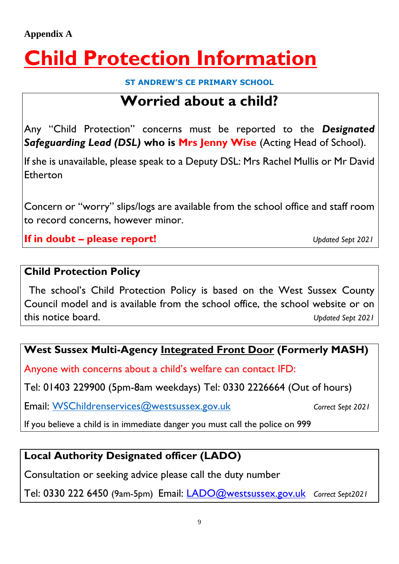# **Child Protection Information**

**ST ANDREW'S CE PRIMARY SCHOOL**

## **Worried about a child?**

Any "Child Protection" concerns must be reported to the *Designated Safeguarding Lead (DSL)* **who is Mrs Jenny Wise** (Acting Head of School).

If she is unavailable, please speak to a Deputy DSL: Mrs Rachel Mullis or Mr David Etherton

Concern or "worry" slips/logs are available from the school office and staff room to record concerns, however minor.

**If in doubt – please report!** *Updated Sept 2021*

## **Child Protection Policy**

The school's Child Protection Policy is based on the West Sussex County Council model and is available from the school office, the school website or on this notice board. *Updated Sept 2021*

## **West Sussex Multi-Agency Integrated Front Door (Formerly MASH)**

Anyone with concerns about a child's welfare can contact IFD:

Tel: 01403 229900 (5pm-8am weekdays) Tel: 0330 2226664 (Out of hours)

Email: [WSChildrenservices@westsussex.gov.uk](mailto:WSChildrenservices@westsussex.gov.uk) *Correct Sept 2021*

If you believe a child is in immediate danger you must call the police on 999

## **Local Authority Designated officer (LADO)**

Consultation or seeking advice please call the duty number

Tel: 0330 222 6450 (9am-5pm) Email: [LADO@westsussex.gov.uk](mailto:LADO@westsussex.gov.uk) *Correct Sept2021*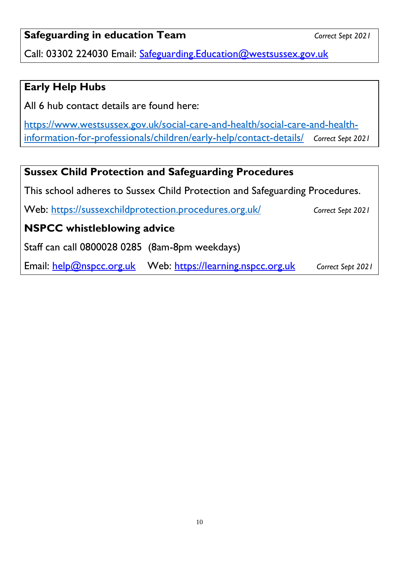## **Safeguarding in education Team** *Correct Sept 2021*

Call: 03302 224030 Email: [Safeguarding.Education@westsussex.gov.uk](mailto:Safeguarding.Education@westsussex.gov.uk)

### **Early Help Hubs**

All 6 hub contact details are found here:

[https://www.westsussex.gov.uk/social-care-and-health/social-care-and-health](https://www.westsussex.gov.uk/social-care-and-health/social-care-and-health-information-for-professionals/children/early-help/contact-details/)[information-for-professionals/children/early-help/contact-details/](https://www.westsussex.gov.uk/social-care-and-health/social-care-and-health-information-for-professionals/children/early-help/contact-details/) *Correct Sept 2021*

## **Sussex Child Protection and Safeguarding Procedures**

This school adheres to Sussex Child Protection and Safeguarding Procedures.

Web:<https://sussexchildprotection.procedures.org.uk/>*Correct Sept 2021* 

## **NSPCC whistleblowing advice**

Staff can call 0800028 0285 (8am-8pm weekdays)

Email: [help@nspcc.org.uk](mailto:help@nspcc.org.uk) Web: [https://learning.nspcc.org.uk](https://learning.nspcc.org.uk/Search?term=core+info) *Correct Sept 2021*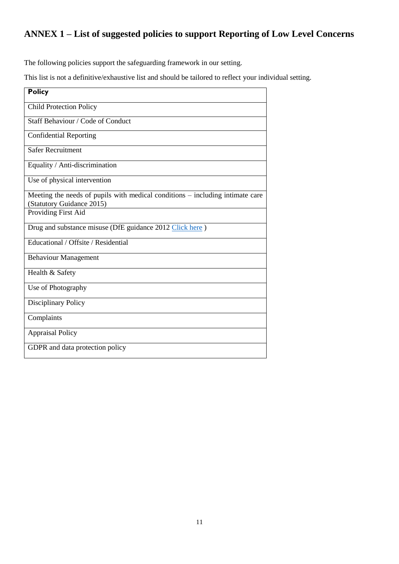## <span id="page-10-0"></span>**ANNEX 1 – List of suggested policies to support Reporting of Low Level Concerns**

The following policies support the safeguarding framework in our setting.

This list is not a definitive/exhaustive list and should be tailored to reflect your individual setting.

| <b>Policy</b>                                                                                                |
|--------------------------------------------------------------------------------------------------------------|
| <b>Child Protection Policy</b>                                                                               |
| Staff Behaviour / Code of Conduct                                                                            |
| <b>Confidential Reporting</b>                                                                                |
| <b>Safer Recruitment</b>                                                                                     |
| Equality / Anti-discrimination                                                                               |
| Use of physical intervention                                                                                 |
| Meeting the needs of pupils with medical conditions $-$ including intimate care<br>(Statutory Guidance 2015) |
| Providing First Aid                                                                                          |
| Drug and substance misuse (DfE guidance 2012 Click here)                                                     |
| Educational / Offsite / Residential                                                                          |
| <b>Behaviour Management</b>                                                                                  |
| Health & Safety                                                                                              |
| Use of Photography                                                                                           |
| Disciplinary Policy                                                                                          |
| Complaints                                                                                                   |
| <b>Appraisal Policy</b>                                                                                      |
| GDPR and data protection policy                                                                              |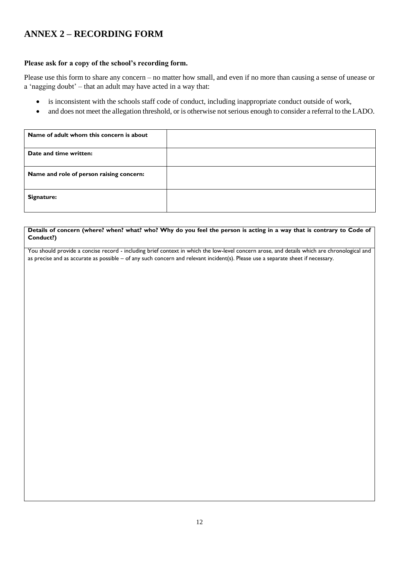#### <span id="page-11-0"></span>**ANNEX 2 – RECORDING FORM**

#### **Please ask for a copy of the school's recording form.**

Please use this form to share any concern – no matter how small, and even if no more than causing a sense of unease or a 'nagging doubt' – that an adult may have acted in a way that:

- is inconsistent with the schools staff code of conduct, including inappropriate conduct outside of work,
- and does not meet the allegation threshold, or is otherwise not serious enough to consider a referral to the LADO.

| Name of adult whom this concern is about |  |
|------------------------------------------|--|
| Date and time written:                   |  |
| Name and role of person raising concern: |  |
| Signature:                               |  |

#### **Details of concern (where? when? what? who? Why do you feel the person is acting in a way that is contrary to Code of Conduct?)**

You should provide a concise record - including brief context in which the low-level concern arose, and details which are chronological and as precise and as accurate as possible – of any such concern and relevant incident(s). Please use a separate sheet if necessary.